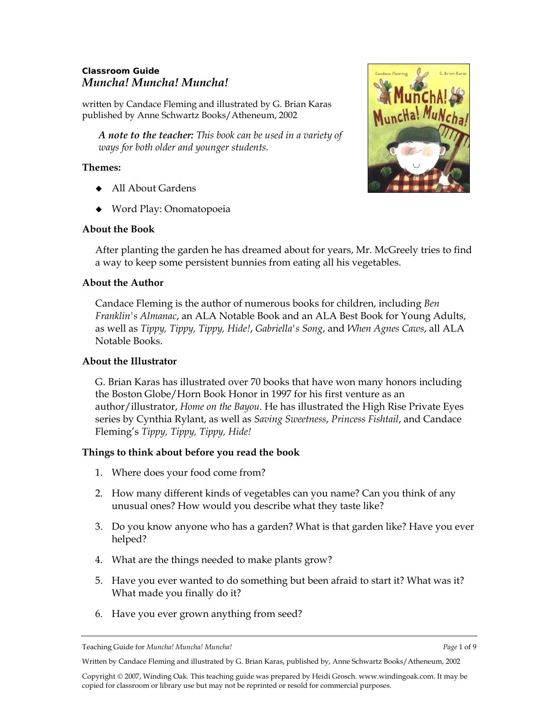## **Classroom Guide**  *Muncha! Muncha! Muncha!*

written by Candace Fleming and illustrated by G. Brian Karas published by Anne Schwartz Books/Atheneum, 2002

*A note to the teacher: This book can be used in a variety of ways for both older and younger students.* 

## **Themes:**

- ◆ All About Gardens
- Word Play: Onomatopoeia

## **About the Book**

After planting the garden he has dreamed about for years, Mr. McGreely tries to find a way to keep some persistent bunnies from eating all his vegetables.

## **About the Author**

Candace Fleming is the author of numerous books for children, including *Ben Franklin's Almanac*, an ALA Notable Book and an ALA Best Book for Young Adults, as well as *Tippy, Tippy, Tippy, Hide!*, *Gabriella's Song*, and *When Agnes Caws*, all ALA Notable Books.

## **About the Illustrator**

G. Brian Karas has illustrated over 70 books that have won many honors including the Boston Globe/Horn Book Honor in 1997 for his first venture as an author/illustrator, *Home on the Bayou*. He has illustrated the High Rise Private Eyes series by Cynthia Rylant, as well as *Saving Sweetness*, *Princess Fishtail*, and Candace Fleming's *Tippy, Tippy, Tippy, Hide!*

## **Things to think about before you read the book**

- 1. Where does your food come from?
- 2. How many different kinds of vegetables can you name? Can you think of any unusual ones? How would you describe what they taste like?
- 3. Do you know anyone who has a garden? What is that garden like? Have you ever helped?
- 4. What are the things needed to make plants grow?
- 5. Have you ever wanted to do something but been afraid to start it? What was it? What made you finally do it?
- 6. Have you ever grown anything from seed?

Written by Candace Fleming and illustrated by G. Brian Karas, published by, Anne Schwartz Books/Atheneum, 2002



Teaching Guide for *Muncha! Muncha! Muncha! Page* 1 of 9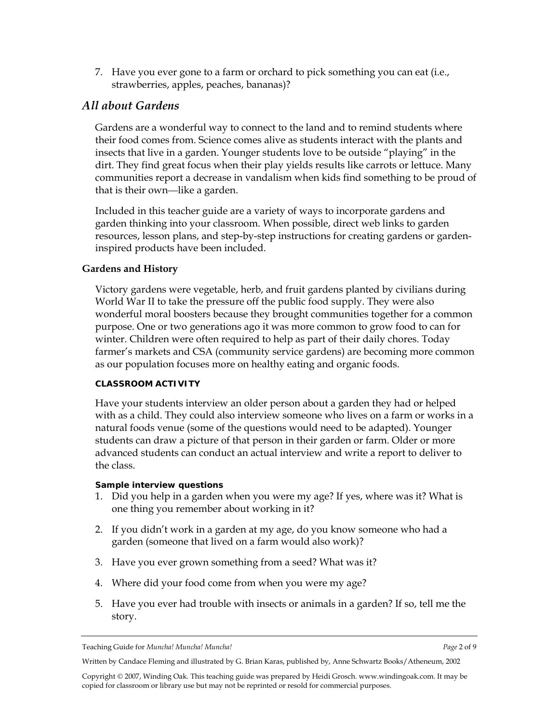7. Have you ever gone to a farm or orchard to pick something you can eat (i.e., strawberries, apples, peaches, bananas)?

# *All about Gardens*

Gardens are a wonderful way to connect to the land and to remind students where their food comes from. Science comes alive as students interact with the plants and insects that live in a garden. Younger students love to be outside "playing" in the dirt. They find great focus when their play yields results like carrots or lettuce. Many communities report a decrease in vandalism when kids find something to be proud of that is their own—like a garden.

Included in this teacher guide are a variety of ways to incorporate gardens and garden thinking into your classroom. When possible, direct web links to garden resources, lesson plans, and step-by-step instructions for creating gardens or gardeninspired products have been included.

## **Gardens and History**

Victory gardens were vegetable, herb, and fruit gardens planted by civilians during World War II to take the pressure off the public food supply. They were also wonderful moral boosters because they brought communities together for a common purpose. One or two generations ago it was more common to grow food to can for winter. Children were often required to help as part of their daily chores. Today farmer's markets and CSA (community service gardens) are becoming more common as our population focuses more on healthy eating and organic foods.

#### **CLASSROOM ACTIVITY**

Have your students interview an older person about a garden they had or helped with as a child. They could also interview someone who lives on a farm or works in a natural foods venue (some of the questions would need to be adapted). Younger students can draw a picture of that person in their garden or farm. Older or more advanced students can conduct an actual interview and write a report to deliver to the class.

#### **Sample interview questions**

- 1. Did you help in a garden when you were my age? If yes, where was it? What is one thing you remember about working in it?
- 2. If you didn't work in a garden at my age, do you know someone who had a garden (someone that lived on a farm would also work)?
- 3. Have you ever grown something from a seed? What was it?
- 4. Where did your food come from when you were my age?
- 5. Have you ever had trouble with insects or animals in a garden? If so, tell me the story.

Written by Candace Fleming and illustrated by G. Brian Karas, published by, Anne Schwartz Books/Atheneum, 2002

Teaching Guide for *Muncha! Muncha! Muncha! Page* 2 of 9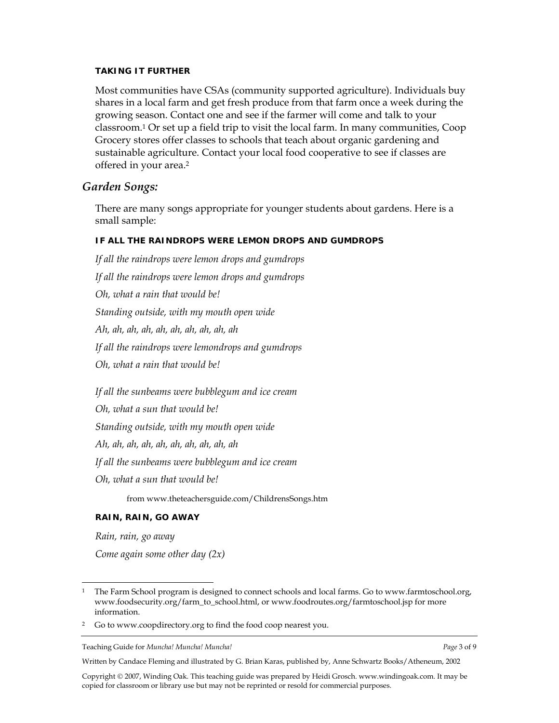#### **TAKING IT FURTHER**

Most communities have CSAs (community supported agriculture). Individuals buy shares in a local farm and get fresh produce from that farm once a week during the growing season. Contact one and see if the farmer will come and talk to your classroom.1 Or set up a field trip to visit the local farm. In many communities, Coop Grocery stores offer classes to schools that teach about organic gardening and sustainable agriculture. Contact your local food cooperative to see if classes are offered in your area.2

## *Garden Songs:*

There are many songs appropriate for younger students about gardens. Here is a small sample:

#### **IF ALL THE RAINDROPS WERE LEMON DROPS AND GUMDROPS**

*If all the raindrops were lemon drops and gumdrops If all the raindrops were lemon drops and gumdrops Oh, what a rain that would be! Standing outside, with my mouth open wide Ah, ah, ah, ah, ah, ah, ah, ah, ah, ah If all the raindrops were lemondrops and gumdrops Oh, what a rain that would be! If all the sunbeams were bubblegum and ice cream* 

*Oh, what a sun that would be!* 

*Standing outside, with my mouth open wide* 

*Ah, ah, ah, ah, ah, ah, ah, ah, ah, ah* 

*If all the sunbeams were bubblegum and ice cream* 

*Oh, what a sun that would be!* 

from www.theteachersguide.com/ChildrensSongs.htm

#### **RAIN, RAIN, GO AWAY**

*Rain, rain, go away* 

 $\overline{a}$ 

*Come again some other day (2x)* 

Teaching Guide for *Muncha! Muncha! Muncha! Page* 3 of 9

Written by Candace Fleming and illustrated by G. Brian Karas, published by, Anne Schwartz Books/Atheneum, 2002

<sup>&</sup>lt;sup>1</sup> The Farm School program is designed to connect schools and local farms. Go to www.farmtoschool.org, www.foodsecurity.org/farm\_to\_school.html, or www.foodroutes.org/farmtoschool.jsp for more information.

Go to www.coopdirectory.org to find the food coop nearest you.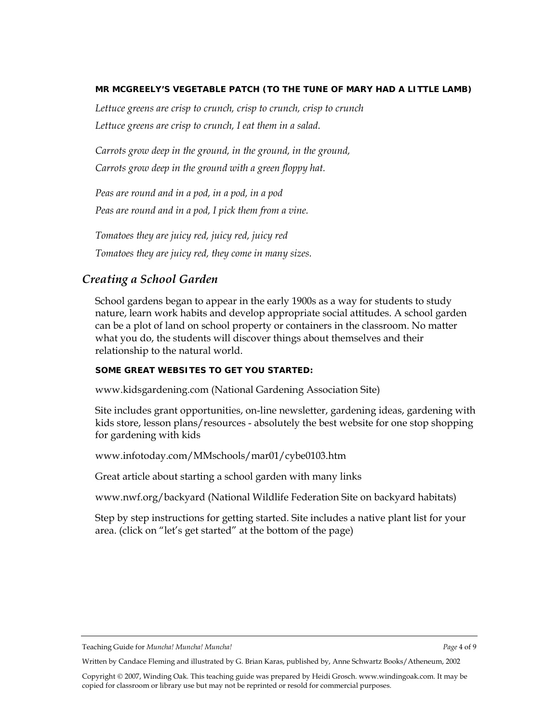#### **MR MCGREELY'S VEGETABLE PATCH (TO THE TUNE OF** *MARY HAD A LITTLE LAMB)*

*Lettuce greens are crisp to crunch, crisp to crunch, crisp to crunch Lettuce greens are crisp to crunch, I eat them in a salad.* 

*Carrots grow deep in the ground, in the ground, in the ground, Carrots grow deep in the ground with a green floppy hat.* 

*Peas are round and in a pod, in a pod, in a pod Peas are round and in a pod, I pick them from a vine.* 

*Tomatoes they are juicy red, juicy red, juicy red Tomatoes they are juicy red, they come in many sizes.* 

# *Creating a School Garden*

School gardens began to appear in the early 1900s as a way for students to study nature, learn work habits and develop appropriate social attitudes. A school garden can be a plot of land on school property or containers in the classroom. No matter what you do, the students will discover things about themselves and their relationship to the natural world.

#### **SOME GREAT WEBSITES TO GET YOU STARTED:**

www.kidsgardening.com (National Gardening Association Site)

Site includes grant opportunities, on-line newsletter, gardening ideas, gardening with kids store, lesson plans/resources - absolutely the best website for one stop shopping for gardening with kids

www.infotoday.com/MMschools/mar01/cybe0103.htm

Great article about starting a school garden with many links

www.nwf.org/backyard (National Wildlife Federation Site on backyard habitats)

Step by step instructions for getting started. Site includes a native plant list for your area. (click on "let's get started" at the bottom of the page)

Teaching Guide for *Muncha! Muncha! Muncha! Page* 4 of 9

Written by Candace Fleming and illustrated by G. Brian Karas, published by, Anne Schwartz Books/Atheneum, 2002

Copyright © 2007, Winding Oak. This teaching guide was prepared by Heidi Grosch. www.windingoak.com. It may be copied for classroom or library use but may not be reprinted or resold for commercial purposes.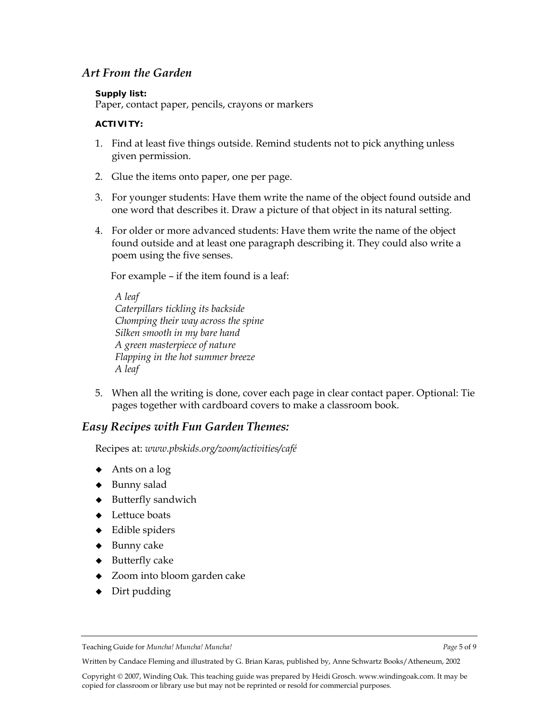# *Art From the Garden*

### **Supply list:**

Paper, contact paper, pencils, crayons or markers

### **ACTIVITY:**

- 1. Find at least five things outside. Remind students not to pick anything unless given permission.
- 2. Glue the items onto paper, one per page.
- 3. For younger students: Have them write the name of the object found outside and one word that describes it. Draw a picture of that object in its natural setting.
- 4. For older or more advanced students: Have them write the name of the object found outside and at least one paragraph describing it. They could also write a poem using the five senses.

For example – if the item found is a leaf:

*A leaf Caterpillars tickling its backside Chomping their way across the spine Silken smooth in my bare hand A green masterpiece of nature Flapping in the hot summer breeze A leaf* 

5. When all the writing is done, cover each page in clear contact paper. Optional: Tie pages together with cardboard covers to make a classroom book.

## *Easy Recipes with Fun Garden Themes:*

Recipes at: *www.pbskids.org/zoom/activities/café*

- ◆ Ants on a log
- ◆ Bunny salad
- ◆ Butterfly sandwich
- ◆ Lettuce boats
- Edible spiders
- ◆ Bunny cake
- ◆ Butterfly cake
- ◆ Zoom into bloom garden cake
- Dirt pudding

Written by Candace Fleming and illustrated by G. Brian Karas, published by, Anne Schwartz Books/Atheneum, 2002

Teaching Guide for *Muncha! Muncha! Muncha! Page* 5 of 9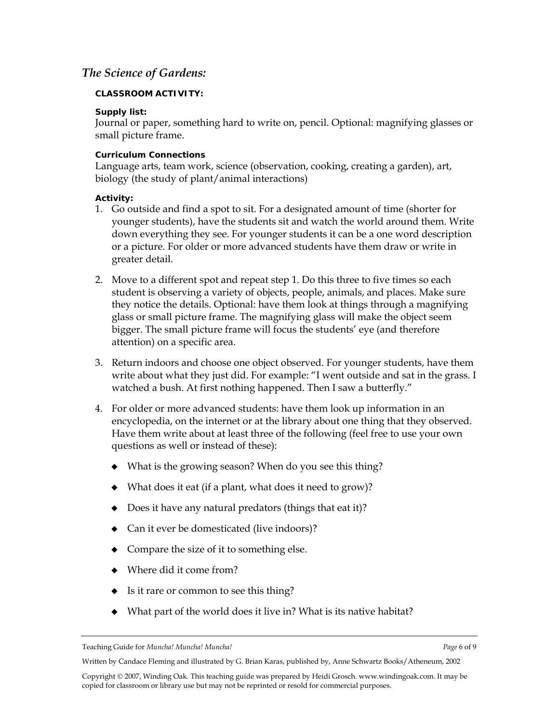# *The Science of Gardens:*

### **CLASSROOM ACTIVITY:**

#### **Supply list:**

Journal or paper, something hard to write on, pencil. Optional: magnifying glasses or small picture frame.

#### **Curriculum Connections**

Language arts, team work, science (observation, cooking, creating a garden), art, biology (the study of plant/animal interactions)

### **Activity:**

- 1. Go outside and find a spot to sit. For a designated amount of time (shorter for younger students), have the students sit and watch the world around them. Write down everything they see. For younger students it can be a one word description or a picture. For older or more advanced students have them draw or write in greater detail.
- 2. Move to a different spot and repeat step 1. Do this three to five times so each student is observing a variety of objects, people, animals, and places. Make sure they notice the details. Optional: have them look at things through a magnifying glass or small picture frame. The magnifying glass will make the object seem bigger. The small picture frame will focus the students' eye (and therefore attention) on a specific area.
- 3. Return indoors and choose one object observed. For younger students, have them write about what they just did. For example: "I went outside and sat in the grass. I watched a bush. At first nothing happened. Then I saw a butterfly."
- 4. For older or more advanced students: have them look up information in an encyclopedia, on the internet or at the library about one thing that they observed. Have them write about at least three of the following (feel free to use your own questions as well or instead of these):
	- What is the growing season? When do you see this thing?
	- $\blacklozenge$  What does it eat (if a plant, what does it need to grow)?
	- ◆ Does it have any natural predators (things that eat it)?
	- ◆ Can it ever be domesticated (live indoors)?
	- Compare the size of it to something else.
	- ◆ Where did it come from?
	- ◆ Is it rare or common to see this thing?
	- What part of the world does it live in? What is its native habitat?

Written by Candace Fleming and illustrated by G. Brian Karas, published by, Anne Schwartz Books/Atheneum, 2002

Teaching Guide for *Muncha! Muncha! Muncha! Page* 6 of 9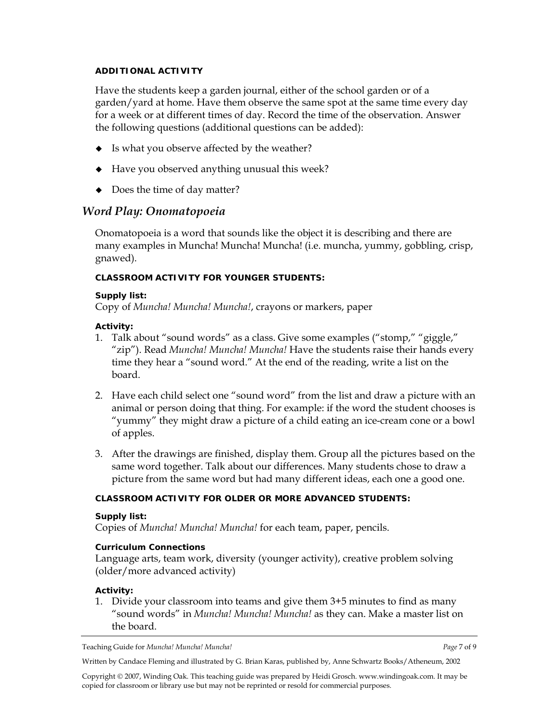#### **ADDITIONAL ACTIVITY**

Have the students keep a garden journal, either of the school garden or of a garden/yard at home. Have them observe the same spot at the same time every day for a week or at different times of day. Record the time of the observation. Answer the following questions (additional questions can be added):

- Is what you observe affected by the weather?
- Have you observed anything unusual this week?
- Does the time of day matter?

## *Word Play: Onomatopoeia*

Onomatopoeia is a word that sounds like the object it is describing and there are many examples in Muncha! Muncha! Muncha! (i.e. muncha, yummy, gobbling, crisp, gnawed).

#### **CLASSROOM ACTIVITY FOR YOUNGER STUDENTS:**

#### **Supply list:**

Copy of *Muncha! Muncha! Muncha!*, crayons or markers, paper

### **Activity:**

- 1. Talk about "sound words" as a class. Give some examples ("stomp," "giggle," "zip"). Read *Muncha! Muncha! Muncha!* Have the students raise their hands every time they hear a "sound word." At the end of the reading, write a list on the board.
- 2. Have each child select one "sound word" from the list and draw a picture with an animal or person doing that thing. For example: if the word the student chooses is "yummy" they might draw a picture of a child eating an ice-cream cone or a bowl of apples.
- 3. After the drawings are finished, display them. Group all the pictures based on the same word together. Talk about our differences. Many students chose to draw a picture from the same word but had many different ideas, each one a good one.

#### **CLASSROOM ACTIVITY FOR OLDER OR MORE ADVANCED STUDENTS:**

#### **Supply list:**

Copies of *Muncha! Muncha! Muncha!* for each team, paper, pencils.

#### **Curriculum Connections**

Language arts, team work, diversity (younger activity), creative problem solving (older/more advanced activity)

#### **Activity:**

1. Divide your classroom into teams and give them 3+5 minutes to find as many "sound words" in *Muncha! Muncha! Muncha!* as they can. Make a master list on the board.

Written by Candace Fleming and illustrated by G. Brian Karas, published by, Anne Schwartz Books/Atheneum, 2002

Teaching Guide for *Muncha! Muncha! Muncha! Page* 7 of 9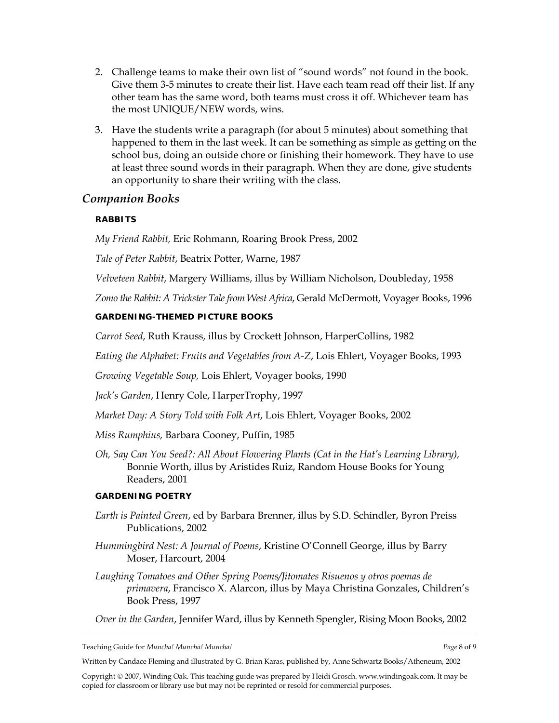- 2. Challenge teams to make their own list of "sound words" not found in the book. Give them 3-5 minutes to create their list. Have each team read off their list. If any other team has the same word, both teams must cross it off. Whichever team has the most UNIQUE/NEW words, wins.
- 3. Have the students write a paragraph (for about 5 minutes) about something that happened to them in the last week. It can be something as simple as getting on the school bus, doing an outside chore or finishing their homework. They have to use at least three sound words in their paragraph. When they are done, give students an opportunity to share their writing with the class.

## *Companion Books*

### **RABBITS**

*My Friend Rabbit,* Eric Rohmann, Roaring Brook Press, 2002

*Tale of Peter Rabbit*, Beatrix Potter, Warne, 1987

*Velveteen Rabbit*, Margery Williams, illus by William Nicholson, Doubleday, 1958

*Zomo the Rabbit: A Trickster Tale from West Africa*, Gerald McDermott, Voyager Books, 1996

### **GARDENING-THEMED PICTURE BOOKS**

*Carrot Seed*, Ruth Krauss, illus by Crockett Johnson, HarperCollins, 1982

*Eating the Alphabet: Fruits and Vegetables from A-Z*, Lois Ehlert, Voyager Books, 1993

*Growing Vegetable Soup,* Lois Ehlert, Voyager books, 1990

*Jack's Garden*, Henry Cole, HarperTrophy, 1997

*Market Day: A Story Told with Folk Art*, Lois Ehlert, Voyager Books, 2002

*Miss Rumphius,* Barbara Cooney, Puffin, 1985

*Oh, Say Can You Seed?: All About Flowering Plants (Cat in the Hat's Learning Library),*  Bonnie Worth, illus by Aristides Ruiz, Random House Books for Young Readers, 2001

#### **GARDENING POETRY**

- *Earth is Painted Green*, ed by Barbara Brenner, illus by S.D. Schindler, Byron Preiss Publications, 2002
- *Hummingbird Nest: A Journal of Poems*, Kristine O'Connell George, illus by Barry Moser, Harcourt, 2004
- Laughing Tomatoes and Other Spring Poems/Jitomates Risuenos y otros poemas de *primavera*, Francisco X. Alarcon, illus by Maya Christina Gonzales, Children's Book Press, 1997

*Over in the Garden*, Jennifer Ward, illus by Kenneth Spengler, Rising Moon Books, 2002

Teaching Guide for *Muncha! Muncha! Muncha! Page* 8 of 9

Written by Candace Fleming and illustrated by G. Brian Karas, published by, Anne Schwartz Books/Atheneum, 2002